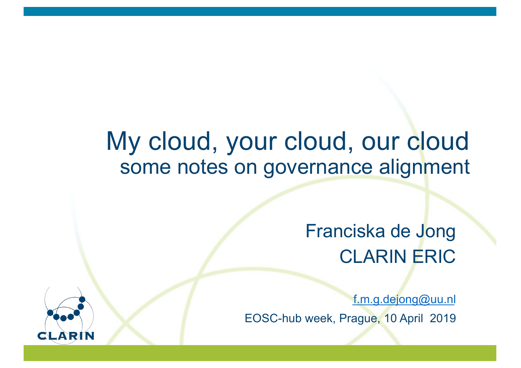# My cloud, your cloud, our cloud some notes on governance alignment

## Franciska de Jong CLARIN ERIC

[f.m.g.dejong@u](mailto:f.m.g.dejong@uu.nl)u.nl EOSC-hub week, Prague, 10 April 2019

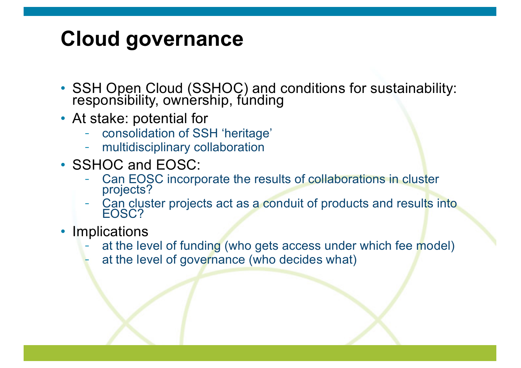#### **Cloud governance**

- SSH Open Cloud (SSHOC) and conditions for sustainability: responsibility, ownership, fúnding
- At stake: potential for
	- consolidation of SSH 'heritage'
	- multidisciplinary collaboration
- SSHOC and EOSC:
	- Can EOSC incorporate the results of collaborations in cluster projects?
	- Can cluster projects act as a conduit of products and results into EOSC?
- Implications
	- at the level of funding (who gets access under which fee model)
		- at the level of governance (who decides what)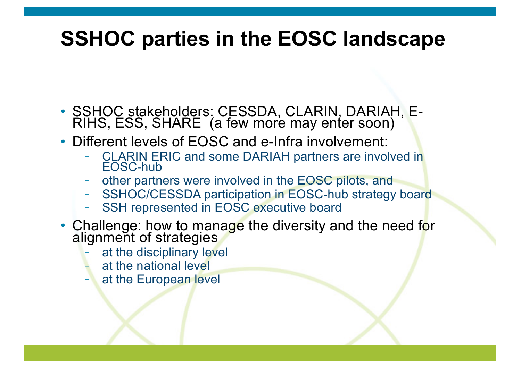## **SSHOC parties in the EOSC landscape**

- SSHOC stakeholders: CESSDA, CLARIN, DARIAH, E-<br>RIHS, ESS, SHARE (a few more may enter soon)
- Different levels of EOSC and e-Infra involvement:
	- CLARIN ERIC and some DARIAH partners are involved in EOSC-hub
	- other partners were involved in the EOSC pilots, and
	- SSHOC/CESSDA participation in EOSC-hub strategy board
	- SSH represented in EOSC executive board
- Challenge: how to manage the diversity and the need for alignment of strategies
	- at the disciplinary level
	- at the national level
	- at the European level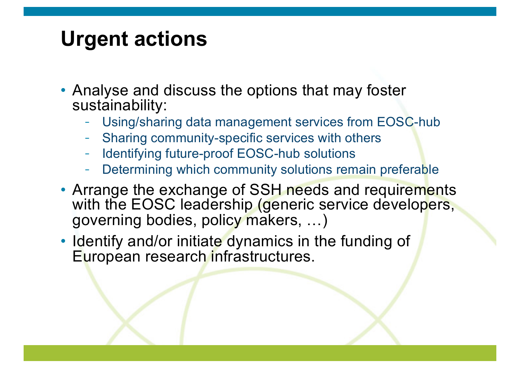## **Urgent actions**

- Analyse and discuss the options that may foster sustainability:
	- Using/sharing data management services from EOSC-hub
	- Sharing community-specific services with others
	- Identifying future-proof EOSC-hub solutions
	- Determining which community solutions remain preferable
- Arrange the exchange of SSH needs and requirements with the EOSC leadership (generic service developers, governing bodies, policy makers, …)
- Identify and/or initiate dynamics in the funding of European research infrastructures.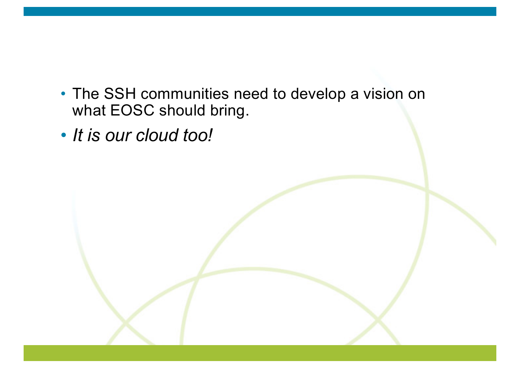- The SSH communities need to develop a vision on what EOSC should bring.
- *It is our cloud too!*